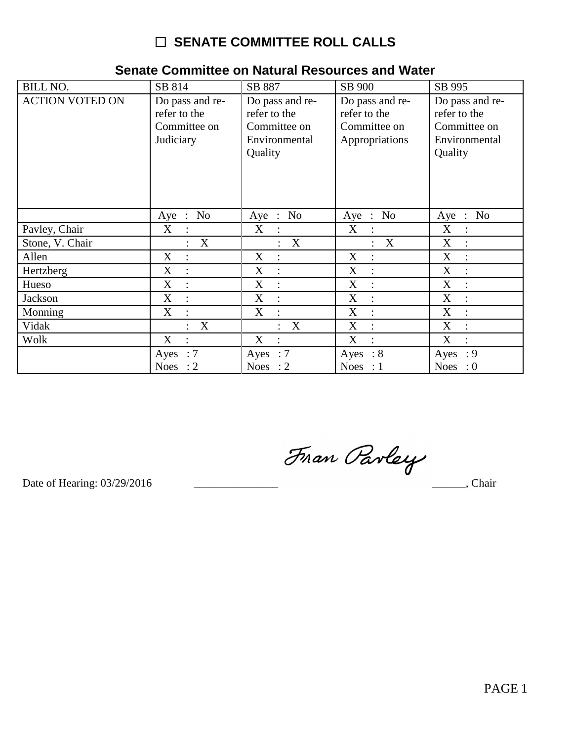# □ SENATE COMMITTEE ROLL CALLS

| <b>BILL NO.</b>        | SB 814                                                       | SB 887                                                                      | SB 900                                                            | SB 995                                                                      |
|------------------------|--------------------------------------------------------------|-----------------------------------------------------------------------------|-------------------------------------------------------------------|-----------------------------------------------------------------------------|
| <b>ACTION VOTED ON</b> | Do pass and re-<br>refer to the<br>Committee on<br>Judiciary | Do pass and re-<br>refer to the<br>Committee on<br>Environmental<br>Quality | Do pass and re-<br>refer to the<br>Committee on<br>Appropriations | Do pass and re-<br>refer to the<br>Committee on<br>Environmental<br>Quality |
|                        | No<br>Aye<br>$\therefore$                                    | No<br>$Aye$ :                                                               | $\therefore$ No<br>Aye                                            | $\therefore$ No<br>Aye                                                      |
| Pavley, Chair          | X<br>$\ddot{\cdot}$                                          | X<br>$\cdot$                                                                | X<br>$\therefore$                                                 | X<br>$\ddot{\cdot}$                                                         |
| Stone, V. Chair        | $\mathbf X$                                                  | X                                                                           | X                                                                 | $\boldsymbol{\mathrm{X}}$<br>$\ddot{\cdot}$                                 |
| Allen                  | X                                                            | X                                                                           | $\mathbf X$<br>$\ddot{\cdot}$                                     | $\boldsymbol{\mathrm{X}}$<br>$\ddot{\cdot}$                                 |
| Hertzberg              | X                                                            | X                                                                           | X<br>$\ddot{\cdot}$                                               | X                                                                           |
| Hueso                  | X<br>$\ddot{\cdot}$                                          | X<br>$\ddot{\cdot}$                                                         | X<br>$\ddot{\cdot}$                                               | X<br>$\ddot{\cdot}$                                                         |
| Jackson                | X<br>$\ddot{\cdot}$                                          | X<br>$\vdots$                                                               | X<br>$\ddot{\cdot}$                                               | X<br>$\ddot{\cdot}$                                                         |
| Monning                | X                                                            | X<br>$\ddot{\cdot}$                                                         | X<br>$\ddot{\cdot}$                                               | X<br>$\ddot{\cdot}$                                                         |
| Vidak                  | X<br>$\bullet$                                               | X<br>$\bullet$                                                              | X<br>$\ddot{\cdot}$                                               | X<br>$\ddot{\cdot}$                                                         |
| Wolk                   | X<br>$\ddot{\cdot}$                                          | X<br>$\ddot{\cdot}$                                                         | X<br>$\ddot{\cdot}$                                               | X<br>$\ddot{\cdot}$                                                         |
|                        | $\therefore 7$<br>Ayes                                       | Ayes : $7$                                                                  | Ayes : $8$                                                        | Ayes : $9$                                                                  |
|                        | <b>Noes</b><br>$\therefore$ 2                                | Noes : $2$                                                                  | Noes : $1$                                                        | <b>Noes</b><br>$\cdot 0$                                                    |

## Senate Committee on Natural Resources and Water

Fran Parley

Date of Hearing: 03/29/2016

 $\frac{1}{\sqrt{1-\frac{1}{2}}}$ , Chair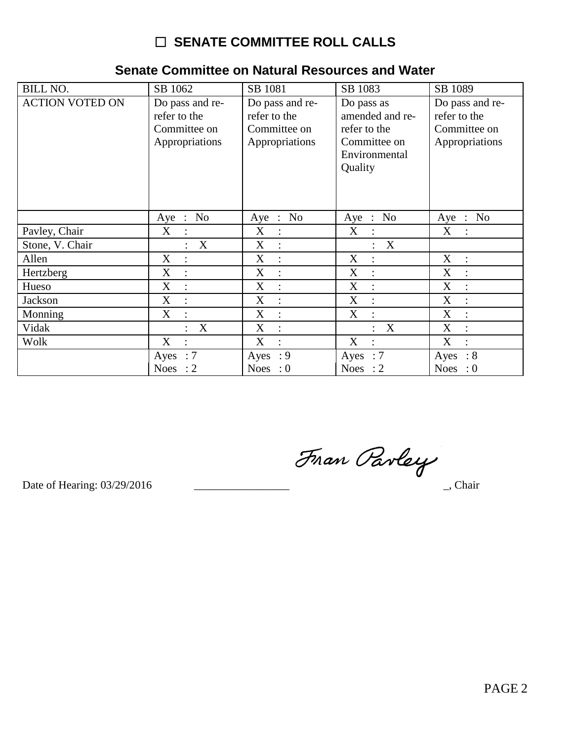# $\Box$  SENATE COMMITTEE ROLL CALLS

### BILL NO.  $\overline{\text{SB }1062}$ SB 1081 SB 1083 SB 1089 **ACTION VOTED ON** Do pass and re-Do pass and re-Do pass as Do pass and rerefer to the refer to the amended and rerefer to the Committee on Committee on refer to the Committee on Appropriations Committee on Appropriations Appropriations Environmental Quality  $Aye$  : No Aye : No Aye : No Aye : No Pavley, Chair  $X$  $\boldsymbol{\mathrm{X}}$  $X$  $\div$  $X$  $\pm$  $\div$  $\div$  $\therefore$  X Stone, V. Chair  $X$  :  $: X$ Allen  $\overline{X}$  $\mathbf{X}$  $\overline{X}$  $\mathbf{X}$  $\pm$  $\cdot$  :  $\mathbb{R}^n$  $\cdot$ :  $\overline{\text{X}}$  $\overline{X}$ Hertzberg  $X$  $\div$  $\div$  $X$  $\langle \cdot, \cdot \rangle$  $\langle \cdot, \cdot \rangle$  $X$  $X$  $X$  $X$ Hueso  $\mathbb{C}$  $\div$  $\mathbb{C}^{\times}$  $\langle \cdot, \cdot \rangle$  $X$  $X$  $X$  $X$ Jackson  $\pm$  $\pm$  $\sim 10^7$  $\sim 10$  $\overline{X}$  : Monning  $X$  :  $X$  $X$  $\mathbb{R}^2$  $\sim 10^7$  $\bar{X}$ : Vidak  $X$  :  $: X$  $: X$ Wolk  $\overline{X}$  $\overline{\text{X}}$  $\overline{X}$  $X$  $\mathbb{R}^2$  $\ddot{\phantom{a}}$  :  $\sim$  1  $^{\circ}$  $\mathbb{C}^{\mathbb{Z}}$ Ayes :  $7$ Ayes :  $9$ Ayes  $:7$  $Ayes : 8$ Noes :  $2$ Noes :  $0$ Noes :  $2$ Noes :  $0$

### Senate Committee on Natural Resources and Water

Fran Parley

Date of Hearing: 03/29/2016

\_, Chair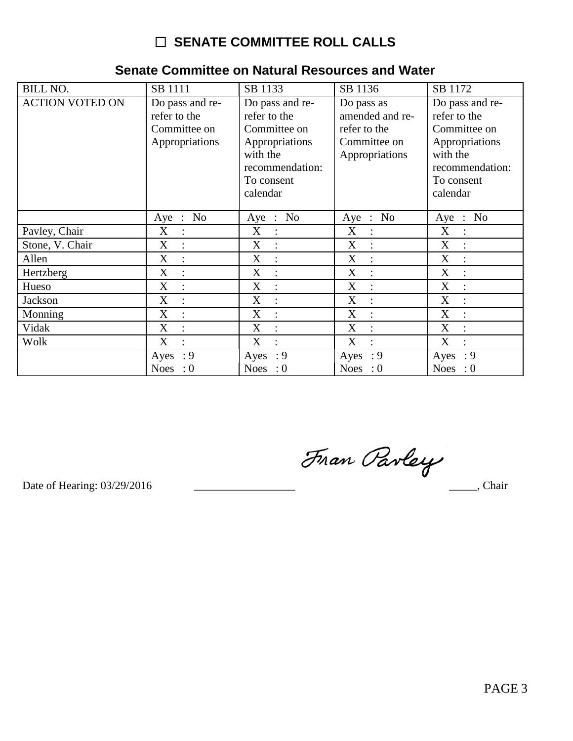# □ SENATE COMMITTEE ROLL CALLS

| <b>BILL NO.</b>        | SB 1111                         | SB 1133                         | SB 1136                       | SB 1172                         |
|------------------------|---------------------------------|---------------------------------|-------------------------------|---------------------------------|
| <b>ACTION VOTED ON</b> | Do pass and re-<br>refer to the | Do pass and re-<br>refer to the | Do pass as<br>amended and re- | Do pass and re-<br>refer to the |
|                        | Committee on                    | Committee on                    | refer to the                  | Committee on                    |
|                        | Appropriations                  | Appropriations                  | Committee on                  | Appropriations                  |
|                        |                                 | with the                        | Appropriations                | with the                        |
|                        |                                 | recommendation:                 |                               | recommendation:                 |
|                        |                                 | To consent                      |                               | To consent                      |
|                        |                                 | calendar                        |                               | calendar                        |
|                        |                                 |                                 |                               |                                 |
|                        | : No<br>Aye                     | N <sub>0</sub><br>Aye<br>$\sim$ | $\therefore$ No<br>Aye        | N <sub>0</sub><br>Aye :         |
| Pavley, Chair          | X<br>$\ddot{\cdot}$             | X<br>$\ddot{\cdot}$             | X<br>$\mathbf{\dot{z}}$       | X<br>$\ddot{\cdot}$             |
| Stone, V. Chair        | X<br>$\ddot{\cdot}$             | X<br>$\ddot{\cdot}$             | X<br>$\ddot{\cdot}$           | X                               |
| Allen                  | X<br>$\ddot{\cdot}$             | X<br>$\ddot{\cdot}$             | X<br>$\ddot{\cdot}$           | X<br>$\ddot{\cdot}$             |
| Hertzberg              | X<br>$\ddot{\cdot}$             | X<br>$\ddot{\cdot}$             | X<br>$\ddot{\cdot}$           | X<br>$\ddot{\cdot}$             |
| Hueso                  | X<br>$\ddot{\cdot}$             | X<br>$\ddot{\cdot}$             | X<br>$\ddot{\cdot}$           | X<br>$\ddot{\cdot}$             |
| Jackson                | X<br>$\ddot{\cdot}$             | X<br>$\ddot{\cdot}$             | X<br>$\ddot{\cdot}$           | X<br>$\ddot{\cdot}$             |
| Monning                | X<br>$\ddot{\cdot}$             | X<br>$\ddot{\cdot}$             | X<br>$\ddot{\cdot}$           | X<br>$\ddot{\cdot}$             |
| Vidak                  | X<br>$\ddot{\cdot}$             | X<br>$\ddot{\cdot}$             | X<br>$\ddot{\cdot}$           | X<br>$\ddot{\cdot}$             |
| Wolk                   | X<br>$\ddot{\cdot}$             | X<br>$\ddot{\cdot}$             | X<br>$\ddot{\cdot}$           | X<br>$\ddot{\cdot}$             |
|                        | Ayes : $9$                      | Ayes : $9$                      | Ayes : $9$                    | Ayes : $9$                      |
|                        | Noes : $0$                      | <b>Noes</b><br>$\cdot 0$        | Noes : $0$                    | Noes : $0$                      |

## Senate Committee on Natural Resources and Water

Fran Parley

Date of Hearing: 03/29/2016

 $\frac{1}{\sqrt{1-\frac{1}{2}}}$ , Chair